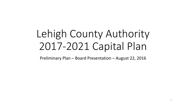# Lehigh County Authority 2017-2021 Capital Plan

Preliminary Plan – Board Presentation – August 22, 2016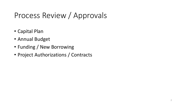### Process Review / Approvals

- Capital Plan
- Annual Budget
- Funding / New Borrowing
- Project Authorizations / Contracts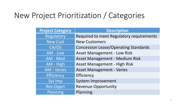### New Project Prioritization / Categories

| <b>Project Category</b> | <b>Description</b>                          |
|-------------------------|---------------------------------------------|
| Regulatory              | Required to meet Regulatory requirements    |
| New Cust                | <b>New Customers</b>                        |
| CA/OS                   | <b>Concession Lease/Operating Standards</b> |
| AM - Low                | <b>Asset Management - Low Risk</b>          |
| AM - Med                | Asset Management - Medium Risk              |
| AM - High               | Asset Management - High Risk                |
| <b>AM - Varies</b>      | <b>Asset Management - Varies</b>            |
| <b>Efficiency</b>       | Efficiency                                  |
| <b>Sys Imp</b>          | <b>System Improvement</b>                   |
| <b>Rev Opprt</b>        | <b>Revenue Opportunity</b>                  |
| Planning                | Planning                                    |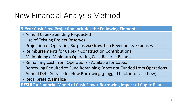### New Financial Analysis Method

#### **5-Year Cash Flow Projection Includes the Following Elements:**

- Annual Capex Spending Requested
- Use of Existing Project Reserves
- Projection of Operating Surplus via Growth in Revenues & Expenses
- Reimbursements for Capex / Construction Contributions
- Maintaining a Minimum Operating Cash Reserve Balance
- Remaining Cash from Operations Available for Capex
- Borrowing Required to Fund Remaining Capex not Funded from Operations
- Annual Debt Service for New Borrowing (plugged back into cash flow)
- Recalibrate & Finalize

**RESULT = Financial Model of Cash Flow / Borrowing Impact of Capex Plan**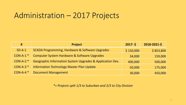### Administration – 2017 Projects

| #                      | <b>Project</b>                                            | $2017 - 5$ | 2018-2021-\$ |
|------------------------|-----------------------------------------------------------|------------|--------------|
| $SD-A-1$               | SCADA Programming, Hardware & Software Upgrades           | \$150,000  | \$853,800    |
| $CON-A-1$ *            | Computer System Hardware & Software Upgrades              | 34,000     | 159,000      |
| $COM-A-2$ <sup>*</sup> | Geographic Information System Upgrades & Application Dev. | 400,000    | 500,000      |
| $CON-A-3$ *            | <b>Information Technology Master Plan Update</b>          | 50,000     | 175,000      |
| $CON-A-4$ <sup>*</sup> | <b>Document Management</b>                                | 30,000     | 450,000      |

*\*= Projects split 1/3 to Suburban and 2/3 to City Division*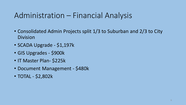### Administration – Financial Analysis

- Consolidated Admin Projects split 1/3 to Suburban and 2/3 to City Division
- SCADA Upgrade \$1,197k
- GIS Upgrades \$900k
- IT Master Plan- \$225k
- Document Management \$480k
- TOTAL \$2,802k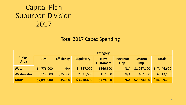#### Total 2017 Capex Spending

|                              | <b>Category</b> |                   |                   |                                |                        |                       |               |  |  |  |  |  |  |  |
|------------------------------|-----------------|-------------------|-------------------|--------------------------------|------------------------|-----------------------|---------------|--|--|--|--|--|--|--|
| <b>Budget</b><br><b>Area</b> | <b>AM</b>       | <b>Efficiency</b> | <b>Regulatory</b> | <b>New</b><br><b>Customers</b> | <b>Revenue</b><br>Opp. | <b>System</b><br>Imp. | <b>Totals</b> |  |  |  |  |  |  |  |
| <b>Water</b>                 | \$4,776,000     | N/A               | 337,000           | \$366,500                      | N/A                    | \$1,967,100           | 57,446,600    |  |  |  |  |  |  |  |
| Wastewater                   | 3,117,000       | \$35,000          | 2,941,600         | 112,500                        | N/A                    | 407,000               | 6,613,100     |  |  |  |  |  |  |  |
| <b>Totals</b>                | \$7,893,000     | 35,000            | \$3,278,600       | \$479,000                      | N/A                    | \$2,374,100           | \$14,059,700  |  |  |  |  |  |  |  |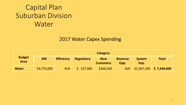#### 2017 Water Capex Spending

|                              |             | <b>Category</b>   |                   |                                |                        |                       |              |  |  |  |  |  |  |  |  |
|------------------------------|-------------|-------------------|-------------------|--------------------------------|------------------------|-----------------------|--------------|--|--|--|--|--|--|--|--|
| <b>Budget</b><br><b>Area</b> | <b>AM</b>   | <b>Efficiency</b> | <b>Regulatory</b> | <b>New</b><br><b>Customers</b> | <b>Revenue</b><br>Opp. | <b>System</b><br>Imp. | <b>Total</b> |  |  |  |  |  |  |  |  |
| <b>Water</b>                 | \$4,776,000 | N/A               | \$337,000         | \$366,500                      | N/A                    | \$1,967,100           | \$7,446,600  |  |  |  |  |  |  |  |  |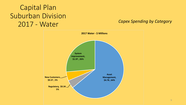### Capital Plan Suburban Division 2017 - Water *Capex Spending by Category*

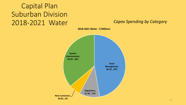### Capital Plan Suburban Division 2018-2021 Water *Capex Spending by Category*



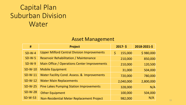#### Asset Management

| #         | <b>Project</b>                                      | $2017 - 5$    | 2018-2021-\$ |
|-----------|-----------------------------------------------------|---------------|--------------|
| $SD-W-4$  | <b>Upper Milford Central Division Improvements</b>  | \$<br>155,000 | \$980,000    |
| $SD-W-5$  | <b>Reservoir Rehabilitation / Maintenance</b>       | 210,000       | 850,000      |
| $SD-W-9$  | <b>Main Office / Operations Center Improvements</b> | 210,000       | 120,500      |
| $SD-W-10$ | <b>Mobile Equipment</b>                             | 31,000        | 504,000      |
| $SD-W-11$ | Water Facility Cond. Assess. & Improvements         | 720,000       | 780,000      |
| $SD-W-12$ | <b>Water Main Replacements</b>                      | 2,040,000     | 2,800,000    |
| $SD-W-25$ | <b>Pine Lakes Pumping Station Improvements</b>      | 328,000       | N/A          |
| $SD-W-28$ | <b>Other Equipment</b>                              | 100,000       | 504,000      |
| $SD-W-53$ | Non-Residential Meter Replacement Project           | 982,000       | N/A          |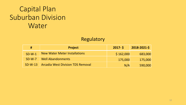#### Regulatory

| #         | <b>Project</b>                           | $2017 - 5$ | 2018-2021-\$ |
|-----------|------------------------------------------|------------|--------------|
| $SD-W-1$  | <b>New Water Meter Installations</b>     | \$162,000  | 683,000      |
| $SD-W-7$  | <b>Well Abandonments</b>                 | 175,000    | 175,000      |
| $SD-W-13$ | <b>Arcadia West Division TDS Removal</b> | N/A        | 590,000      |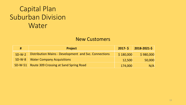#### New Customers

| #        | <b>Project</b>                                        |           | 2017-5 2018-2021-5 |
|----------|-------------------------------------------------------|-----------|--------------------|
| $SD-W-2$ | Distribution Mains - Development and Svc. Connections | \$180,000 | \$980,000          |
|          | <b>SD-W-8</b> Water Company Acquisitions              | 12,500    | 50,000             |
|          | SD-W-51 Route 309 Crossing at Sand Spring Road        | 174,000   | N/A                |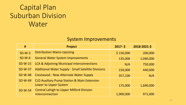#### System Improvements

| #              | <b>Project</b>                                             | $2017 - 5$ | 2018-2021-\$ |
|----------------|------------------------------------------------------------|------------|--------------|
| $SD-W-3$       | <b>Distribution Mains-Upsizing</b>                         | \$150,000  | 200,000      |
| $SD-W-6$       | <b>General Water System Improvements</b>                   | 135,000    | 1,040,000    |
| $SD-W-15$      | LCA & Adjoining Municipal Interconnections                 | N/A        | 750,000      |
| <b>SD-W-37</b> | <b>Additional Water Supply - Small Satellite Divisions</b> | 150,000    | 440,000      |
| <b>SD-W-48</b> | <b>Crestwood - New Alternate Water Supply</b>              | 357,100    | N/A          |
| <b>SD-W-49</b> | <b>CLD Auxiliary Pump Station &amp; Main Extension</b>     |            |              |
|                | Lower to Upper System                                      | 175,000    | 1,690,000    |
| <b>SD-W-54</b> | <b>Central Lehigh to Upper Milford Division</b>            |            |              |
|                | Interconnection                                            | 1,000,000  | 971,000      |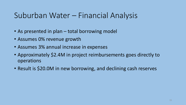### Suburban Water – Financial Analysis

- As presented in plan total borrowing model
- Assumes 0% revenue growth
- Assumes 3% annual increase in expenses
- Approximately \$2.4M in project reimbursements goes directly to operations
- Result is \$20.0M in new borrowing, and declining cash reserves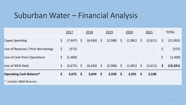### Suburban Water – Financial Analysis

|                                    |         | 2017         | 2018         | 2019         |            | 2020         |          | 2021    |              | <b>TOTAL</b> |
|------------------------------------|---------|--------------|--------------|--------------|------------|--------------|----------|---------|--------------|--------------|
| <b>Capex Spending</b>              | \$      | $(7,447)$ \$ | $(6,436)$ \$ | (2,588)      | $\sqrt{5}$ | $(1,981)$ \$ |          | (2,611) | $\mathsf{S}$ | (21,063)     |
| Use of Reserves / Prior Borrowings | \$      | (372)        |              |              |            |              |          |         | $\zeta$      | (372)        |
| Use of Cash from Operations        | \$      | (1,400)      |              |              |            |              |          |         | $\zeta$      | (1,400)      |
| Use of NEW Debt                    | $\zeta$ | $(5,675)$ \$ | $(6,436)$ \$ | $(2,588)$ \$ |            | $(1,981)$ \$ |          | (2,611) | $\mathsf{S}$ | (19, 291)    |
| <b>Operating Cash Balance*</b>     | \$      | $3,673$ \$   | $3,634$ \$   | 3,558        | - \$       | 3,201        | <b>S</b> | 2,538   |              |              |
| * Includes O&M Reserves            |         |              |              |              |            |              |          |         |              |              |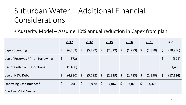### Suburban Water – Additional Financial Considerations

• Austerity Model – Assume 10% annual reduction in Capex from plan

|                                    |         | 2017         |          | 2018         | 2019         | 2020         | 2021    |              | <b>TOTAL</b> |
|------------------------------------|---------|--------------|----------|--------------|--------------|--------------|---------|--------------|--------------|
| <b>Capex Spending</b>              | \$      | $(6,702)$ \$ |          | $(5,792)$ \$ | $(2,329)$ \$ | $(1,783)$ \$ | (2,350) | $\mathsf{S}$ | (18, 956)    |
| Use of Reserves / Prior Borrowings | \$      | (372)        |          |              |              |              |         | \$           | (372)        |
| Use of Cash from Operations        | $\zeta$ | (1,400)      |          |              |              |              |         | \$           | (1,400)      |
| Use of NEW Debt                    | \$      | $(4,930)$ \$ |          | $(5,792)$ \$ | $(2,329)$ \$ | $(1,783)$ \$ | (2,350) | $\mathsf{S}$ | (17, 184)    |
| <b>Operating Cash Balance*</b>     | \$      | 3,841        | <b>S</b> | $3,970$ \$   | $4,062$ \$   | $3,873$ \$   | 3,378   |              |              |
| * Includes O&M Reserves            |         |              |          |              |              |              |         |              |              |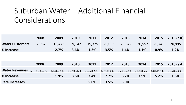### Suburban Water – Additional Financial Considerations

|                               | 2008 | 2009    | 2010 | 2011 | 2012           | 2013    | 2014    |         | 2015 2016 (est) |
|-------------------------------|------|---------|------|------|----------------|---------|---------|---------|-----------------|
| <b>Water Customers</b> 17,987 |      |         |      |      |                |         |         |         |                 |
| % Increase                    |      | $2.7\%$ | 3.6% | 1.2% | $\sqrt{3.5\%}$ | $1.4\%$ | $1.1\%$ | $0.9\%$ | 1.2%            |

|                       | 2008      | 2009        | 2010        | 2011                                                | 2012 | 2013 | 2014 | 2015        | $2016$ (est) |
|-----------------------|-----------|-------------|-------------|-----------------------------------------------------|------|------|------|-------------|--------------|
| <b>Water Revenues</b> | 5,785,270 | \$5,897,985 | \$6,408,124 | $$6,628,291$ $$7,141,092$ $$7,618,998$ $$8,218,522$ |      |      |      | \$8,644,432 | \$8,787,000  |
| % Increase            |           | 1.9%        | 8.6%        | 3.4%                                                | 7.7% | 6.7% | 7.9% | 5.2%        | 1.6%         |
| <b>Rate Increases</b> |           |             |             | 5.0%                                                | 3.5% | 3.0% |      |             |              |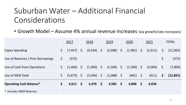### Suburban Water – Additional Financial Considerations

• Growth Model – Assume 4% annual revenue increases (via growth/rate increases)

|                                    | 2017           |            | 2018         | 2019         |              | 2020         |          | 2021    |              | <b>TOTAL</b> |
|------------------------------------|----------------|------------|--------------|--------------|--------------|--------------|----------|---------|--------------|--------------|
| <b>Capex Spending</b>              | \$<br>(7, 447) | $\sqrt{5}$ | $(6,436)$ \$ | $(2,588)$ \$ |              | $(1,981)$ \$ |          | (2,611) | $\zeta$      | (21,063)     |
| Use of Reserves / Prior Borrowings | \$<br>(372)    |            |              |              |              |              |          |         | $\zeta$      | (372)        |
| Use of Cash from Operations        | \$<br>(1,400)  | S.         | $(1,400)$ \$ | $(1,500)$ \$ |              | $(1,500)$ \$ |          | (2,000) | $\varsigma$  | (7,800)      |
| Use of NEW Debt                    | \$<br>(5,675)  | $\sqrt{5}$ | $(5,036)$ \$ | $(1,088)$ \$ |              | $(481)$ \$   |          | (611)   | $\mathsf{S}$ | (12, 891)    |
| <b>Operating Cash Balance*</b>     | \$<br>4,611    | <b>S</b>   | $4,476$ \$   | 4,585        | $\mathsf{S}$ | 4,808        | <b>S</b> | 4,636   |              |              |
| * Includes O&M Reserves            |                |            |              |              |              |              |          |         |              |              |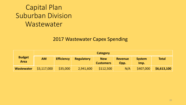#### 2017 Wastewater Capex Spending

|                              |             |                   |                   | Category                       |                        |                       |              |
|------------------------------|-------------|-------------------|-------------------|--------------------------------|------------------------|-----------------------|--------------|
| <b>Budget</b><br><b>Area</b> | <b>AM</b>   | <b>Efficiency</b> | <b>Regulatory</b> | <b>New</b><br><b>Customers</b> | <b>Revenue</b><br>Opp. | <b>System</b><br>Imp. | <b>Total</b> |
| <b>Wastewater</b>            | \$3,117,000 | \$35,000          | 2,941,600         | \$112,500                      | N/A                    | \$407,000             | \$6,613,100  |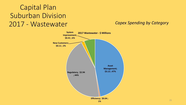### Capital Plan Suburban Division 2017 - Wastewater *Capex Spending by Category*

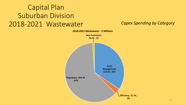#### Capital Plan Suburban Division 2018-2021 Wastewater *Capex Spending by Category*

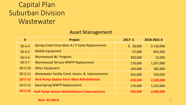#### Asset Management

| #         | <b>Project</b>                                        | $2017 - 5$             | 2018-2021-\$ |
|-----------|-------------------------------------------------------|------------------------|--------------|
| $SD-S-4$  | Spring Creek Force Main A / V Valve Replacements      | 30,000<br>$\mathsf{S}$ | \$130,000    |
| $SD-S-5$  | <b>Mobile Equipment</b>                               | 37,000                 | 802,000      |
| $SD-S-6$  | Wynnewood I&I Program                                 | 300,000                | 10,000       |
| $SD-S-7$  | Wynnewood Terrace WWTP Replacement                    | 170,000                | 1,207,000    |
| $SD-S-10$ | <b>Other Equipment</b>                                | 100,000                | 385,000      |
| $SD-S-11$ | Wastewater Facility Cond. Assess. & Improvements      | 425,000                | 550,000      |
| $SD-S-12$ | <b>Park Pump Station Force Main Rehabilitation</b>    | 450,000                | 2,500,000    |
| $SD-S-13$ | <b>Sand Spring WWTP Replacement</b>                   | 170,000                | 1,352,000    |
| $SD-S-15$ | <b>Park Pump Station Rehabilitation/ Improvements</b> | 450,000                | 2,400,000    |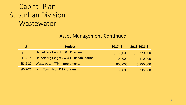#### Asset Management-Continued

| #         | <b>Project</b>                                | $2017 - 5$ | 2018-2021-\$ |
|-----------|-----------------------------------------------|------------|--------------|
| $SD-S-17$ | Heidelberg Heights I & I Program              | \$30,000   | 220,000      |
| $SD-S-18$ | <b>Heidelberg Heights WWTP Rehabilitation</b> | 100,000    | 110,000      |
| $SD-S-22$ | <b>Wastewater PTP Improvements</b>            | 800,000    | 3,750,000    |
| $SD-S-26$ | Lynn Township   &   Program                   | 55,000     | 235,000      |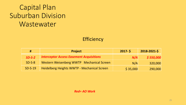#### **Efficiency**

| #         | <b>Project</b>                                  | $2017 - 5$ | 2018-2021-\$ |
|-----------|-------------------------------------------------|------------|--------------|
| $SD-S-2$  | <b>Interceptor Access Easement Acquisitions</b> | N/A        | \$550,000    |
| $SD-S-8$  | Western Weisenberg WWTP Mechanical Screen       | N/A        | 320,000      |
| $SD-S-19$ | Heidelberg Heights WWTP - Mechanical Screen     | \$35,000   | 290,000      |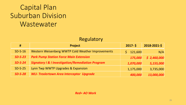| Regulatory |  |
|------------|--|
|------------|--|

| #         | <b>Project</b>                                               | $2017 - 5$ | 2018-2021-\$ |
|-----------|--------------------------------------------------------------|------------|--------------|
| $SD-S-16$ | Western Weisenberg WWTP Cold Weather Improvements            | 121,600    | N/A          |
| $SD-S-23$ | <b>Park Pump Station Force Main Extension</b>                | 175,000    | \$2,460,000  |
| $SD-S-24$ | <b>Signatory I &amp; I Investigation/Remediation Program</b> | 1,070,000  | 5,155,000    |
| $SD-S-25$ | Lynn Twp WWTP Upgrades & Expansion                           | 1,175,000  | 3,735,000    |
| $SD-S-28$ | <b>WLI- Trexlertown Area Interceptor Upgrade</b>             | 400,000    | 13,000,000   |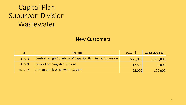#### New Customers

| #         | <b>Project</b>                                                    | $2017 - 5$ | 2018-2021-\$ |
|-----------|-------------------------------------------------------------------|------------|--------------|
| $SD-S-3$  | <b>Central Lehigh County WW Capacity Planning &amp; Expansion</b> | \$75,000   | \$300,000    |
| $SD-S-9$  | <b>Sewer Company Acquisitions</b>                                 | 12,500     | 50,000       |
| $SD-S-14$ | Jordan Creek Wastewater System                                    | 25,000     | 100,000      |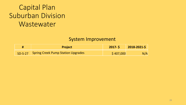#### System Improvement

| <b>Project</b>                             | $2017 - 5$        | 2018-2021-\$ |
|--------------------------------------------|-------------------|--------------|
| SD-S-27 Spring Creek Pump Station Upgrades | $\sqrt{5407,000}$ | N/A          |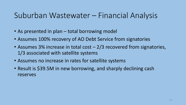### Suburban Wastewater – Financial Analysis

- As presented in plan total borrowing model
- Assumes 100% recovery of AO Debt Service from signatories
- Assumes 3% increase in total cost 2/3 recovered from signatories, 1/3 associated with satellite systems
- Assumes no increase in rates for satellite systems
- Result is \$39.5M in new borrowing, and sharply declining cash reserves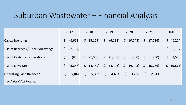### Suburban Wastewater – Financial Analysis

|                                    |              | 2017     |              | 2018                                 |              | 2019     |              | 2020                   |              | 2021     |              | <b>TOTAL</b>               |
|------------------------------------|--------------|----------|--------------|--------------------------------------|--------------|----------|--------------|------------------------|--------------|----------|--------------|----------------------------|
| <b>Capex Spending</b>              | $\mathsf{S}$ | (6, 613) |              | \$ (15, 159)                         | $\varsigma$  | (6, 193) |              | $\frac{1}{2}$ (10,743) | $\mathsf{S}$ | (7,516)  |              | $\frac{1}{2}$ (46,224)     |
| Use of Reserves / Prior Borrowings | $\mathsf{S}$ | (2, 157) |              |                                      |              |          |              |                        |              |          | $\mathsf{S}$ | (2, 157)                   |
| Use of Cash from Operations        | \$           | (800)    | $\mathsf{S}$ | (1,000)                              | $\varsigma$  | (1,200)  | $\zeta$      | (800)                  | $\varsigma$  | (750)    |              | (4, 550)<br>$\mathsf{S}^-$ |
| Use of NEW Debt                    | $\mathsf{S}$ | (3,656)  |              | $\frac{1}{2}$ (14,159) $\frac{1}{2}$ |              | (4,993)  | $\zeta$      | (9,943)                | $\mathsf{S}$ | (6, 766) |              | \$ (39,517)                |
| <b>Operating Cash Balance*</b>     | \$           | 5,842    | \$           | 5,333                                | $\mathsf{S}$ | 4,453    | $\mathsf{S}$ | 3,736                  | $\mathsf{S}$ | 2,813    |              |                            |
| * Includes O&M Reserves            |              |          |              |                                      |              |          |              |                        |              |          |              |                            |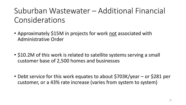## Suburban Wastewater – Additional Financial Considerations

- Approximately \$15M in projects for work not associated with Administrative Order
- \$10.2M of this work is related to satellite systems serving a small customer base of 2,500 homes and businesses
- Debt service for this work equates to about \$703K/year or \$281 per customer, or a 43% rate increase (varies from system to system)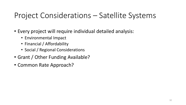### Project Considerations – Satellite Systems

- Every project will require individual detailed analysis:
	- Environmental Impact
	- Financial / Affordability
	- Social / Regional Considerations
- Grant / Other Funding Available?
- Common Rate Approach?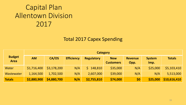#### Total 2017 Capex Spending

|                              |             | <b>Category</b> |                   |                   |                                |                        |                       |               |  |  |  |  |  |  |
|------------------------------|-------------|-----------------|-------------------|-------------------|--------------------------------|------------------------|-----------------------|---------------|--|--|--|--|--|--|
| <b>Budget</b><br><b>Area</b> | <b>AM</b>   | CA/OS           | <b>Efficiency</b> | <b>Regulatory</b> | <b>New</b><br><b>Customers</b> | <b>Revenue</b><br>Opp. | <b>System</b><br>Imp. | <b>Totals</b> |  |  |  |  |  |  |
| <b>Water</b>                 | \$1,716,400 | \$3,178,200     | N/A               | 148,810           | \$35,000                       | N/A                    | \$25,000              | \$5,103,410   |  |  |  |  |  |  |
| Wastewater                   | 1,164,500   | 1,702,500       | N/A               | 2,607,000         | \$39,000                       | N/A                    | N/A                   | 5,513,000     |  |  |  |  |  |  |
| <b>Totals</b>                | \$2,880,900 | \$4,880,700     | N/A               | \$2,755,810       | \$74,000                       | \$0                    | \$25,000              | \$10,616,410  |  |  |  |  |  |  |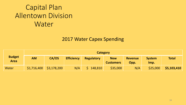#### 2017 Water Capex Spending

|                              |             |             |                   | Category   |                                |                        |                       |              |
|------------------------------|-------------|-------------|-------------------|------------|--------------------------------|------------------------|-----------------------|--------------|
| <b>Budget</b><br><b>Area</b> | <b>AM</b>   | CA/OS       | <b>Efficiency</b> | Regulatory | <b>New</b><br><b>Customers</b> | <b>Revenue</b><br>Opp. | <b>System</b><br>Imp. | <b>Total</b> |
| Water                        | \$1,716,400 | \$3,178,200 | N/A               | 148,810    | \$35,000                       | N/A                    | \$25,000              | \$5,103,410  |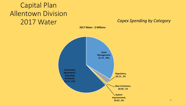### Capital Plan Allentown Division 2017 Water *Capex Spending by Category*

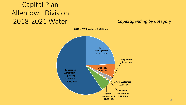### Capital Plan Allentown Division 2018-2021 Water *Capex Spending by Category*



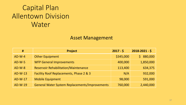#### Asset Management

| #         | <b>Project</b>                                        | $2017 - $$ | $2018 - 2021 - 5$ |
|-----------|-------------------------------------------------------|------------|-------------------|
| $AD-W-4$  | <b>Other Equipment</b>                                | \$345,000  | 880,000<br>S.     |
| $AD-W-5$  | <b>WFP General Improvements</b>                       | 400,000    | 1,850,000         |
| $AD-W-8$  | <b>Reservoir Rehabilitation/Maintenance</b>           | 113,400    | 634,375           |
| $AD-W-13$ | Facility Roof Replacements, Phase 2 & 3               | N/A        | 932,000           |
| AD-W-17   | <b>Mobile Equipment</b>                               | 98,000     | 591,000           |
| AD-W-19   | <b>General Water System Replacements/Improvements</b> | 760,000    | 2,440,000         |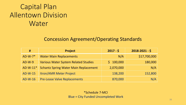#### Concession Agreement/Operating Standards

| #          | <b>Project</b>                               | $2017 - $$ | $2018 - 2021 - $$ |
|------------|----------------------------------------------|------------|-------------------|
| $AD-W-7*$  | <b>Water Main Replacements</b>               | N/A        | \$17,700,000      |
| $AD-W-9$   | <b>Various Water System Related Studies</b>  | \$100,000  | 180,000           |
| $AD-W-11*$ | <b>Schantz Spring Water Main Replacement</b> | 2,070,000  | N/A               |
| AD-W-15    | <b>Itron/AMR Meter Project</b>               | 138,200    | 152,800           |
| $AD-W-16$  | <b>Pre-Lease Valve Replacements</b>          | 870,000    | N/A               |

\*Schedule 7-MCI Blue = City Funded Uncompleted Work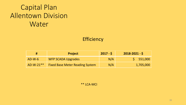#### **Efficiency**

|             | <b>Project</b>                         | $2017 - 5$ | $2018 - 2021 - 5$ |
|-------------|----------------------------------------|------------|-------------------|
| $AD-W-6$    | <b>WFP SCADA Upgrades</b>              | N/A        | 5 551,000         |
| $AD-W-21**$ | <b>Fixed Base Meter Reading System</b> | N/A        | 1,705,000         |

\*\* LCA-MCI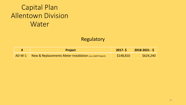#### Regulatory

|          | <b>Project</b>                                                     | $2017 - 5$ | $2018 - 2021 - 5$ |
|----------|--------------------------------------------------------------------|------------|-------------------|
| $AD-W-1$ | <b>New &amp; Replacements Meter Installation</b> (non AMR Project) | \$148,810  | \$624,240         |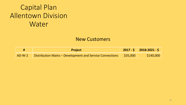#### New Customers

|          | <b>Project</b>                                                      | $2017 - 5$ 2018-2021 - \$ |
|----------|---------------------------------------------------------------------|---------------------------|
| $AD-W-2$ | Distribution Mains – Development and Service Connections   \$35,000 | \$140,000                 |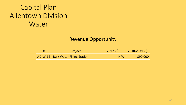#### Revenue Opportunity

| <b>Project</b>                     | $2017 - 5$ | $2018 - 2021 - 5$ |
|------------------------------------|------------|-------------------|
| AD-W-12 Bulk Water Filling Station | N/A        | \$90,000          |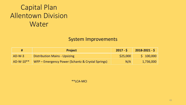#### System Improvements

| #           | <b>Project</b>                                    | $2017 - S$ | $2018 - 2021 - 5$ |
|-------------|---------------------------------------------------|------------|-------------------|
| $AD-W-3$    | <b>Distribution Mains - Upsizing</b>              | \$25,000   | 5 100,000         |
| $AD-W-10**$ | WFP – Emergency Power (Schantz & Crystal Springs) | N/A        | 1,736,000         |

\*\*LCA-MCI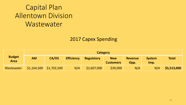#### 2017 Capex Spending

|                              |             |             |                   | <b>Category</b> |                                |                        |                       |              |
|------------------------------|-------------|-------------|-------------------|-----------------|--------------------------------|------------------------|-----------------------|--------------|
| <b>Budget</b><br><b>Area</b> | <b>AM</b>   | CA/OS       | <b>Efficiency</b> | Regulatory      | <b>New</b><br><b>Customers</b> | <b>Revenue</b><br>Opp. | <b>System</b><br>Imp. | <b>Total</b> |
| Wastewater                   | \$1,164,500 | \$1,702,500 | N/A               | \$2,607,000     | \$39,000                       | N/A                    | N/A                   | \$5,513,000  |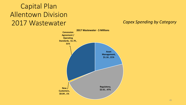### Capital Plan Allentown Division 2017 Wastewater *Capex Spending by Category*

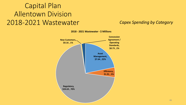### Capital Plan Allentown Division 2018-2021 Wastewater *Capex Spending by Category*



**2018 - 2021 Wastewater - \$ Millions**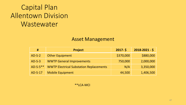#### Asset Management

| #          | <b>Project</b>                                 | $2017 - 5$ | $2018 - 2021 - 5$ |
|------------|------------------------------------------------|------------|-------------------|
| $AD-S-2$   | <b>Other Equipment</b>                         | \$370,000  | \$880,000         |
| $AD-S-3$   | <b>WWTP General Improvements</b>               | 750,000    | 2,000,000         |
| $AD-S-5**$ | <b>WWTP Electrical Substation Replacements</b> | N/A        | 3,350,000         |
| AD-S-17    | <b>Mobile Equipment</b>                        | 44,500     | 1,406,500         |

\*\*LCA-MCI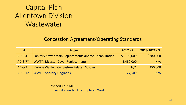#### Concession Agreement/Operating Standards

| #         | <b>Project</b>                                         | $2017 - 5$ | $2018 - 2021 - 5$ |
|-----------|--------------------------------------------------------|------------|-------------------|
| $AD-S-4$  | Sanitary Sewer Main Replacements and/or Rehabilitation | 95,000     | \$380,000         |
| $AD-S-7*$ | <b>WWTP: Digester Cover Replacements</b>               | 1,480,000  | N/A               |
| $AD-S-9$  | <b>Various Wastewater System Related Studies</b>       | N/A        | 350,000           |
| AD-S-12   | <b>WWTP: Security Upgrades</b>                         | 127,500    | N/A               |

\*Schedule 7-MCI Blue= City Funded Uncompleted Work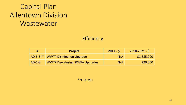#### **Efficiency**

| #        | <b>Project</b>                        | $2017 - 5$ | $2018 - 2021 - 5$ |
|----------|---------------------------------------|------------|-------------------|
|          | AD-S-6** WWTP Disinfection Upgrade    | N/A        | \$1,685,000       |
| $AD-S-8$ | <b>WWTP Dewatering SCADA Upgrades</b> | N/A        | 220,000           |

\*\*LCA-MCI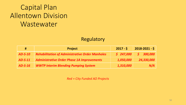#### Regulatory

| #         | <b>Project</b>                                         | $2017 - 5$ | $2018 - 2021 - 5$ |
|-----------|--------------------------------------------------------|------------|-------------------|
| $AD-S-10$ | <b>Rehabilitation of Administrative Order Manholes</b> | \$247,000  | 5 300,000         |
| $AD-S-11$ | Administrative Order Phase 1A Improvements             | 1,050,000  | 24,330,000        |
| $AD-S-16$ | <b>WWTP Interim Blending Pumping System</b>            | 1,310,000  | N/A               |

*Red = City Funded AO Projects*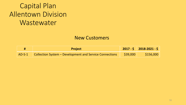#### New Customers

| <b>Project</b>                                                            | $2017 - 5$ 2018-2021 - \$ |
|---------------------------------------------------------------------------|---------------------------|
| AD-S-1 Collection System – Development and Service Connections   \$39,000 | \$156,000                 |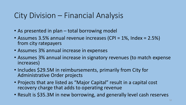### City Division – Financial Analysis

- As presented in plan total borrowing model
- Assumes 3.5% annual revenue increases (CPI = 1%, Index = 2.5%) from city ratepayers
- Assumes 3% annual increase in expenses
- Assumes 3% annual increase in signatory revenues (to match expense increases)
- Includes \$29.5M in reimbursements, primarily from City for Administrative Order projects
- Projects that are listed as "Major Capital" result in a capital cost recovery charge that adds to operating revenue
- Result is \$35.3M in new borrowing, and generally level cash reserves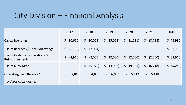### City Division – Financial Analysis

|                                                        | 2017                      | 2018                      | 2019                   | 2020                   | 2021                                        | <b>TOTAL</b>          |
|--------------------------------------------------------|---------------------------|---------------------------|------------------------|------------------------|---------------------------------------------|-----------------------|
| <b>Capex Spending</b>                                  | \$ (10,616)               | \$ (10,063)               | $\frac{1}{2}$ (25,052) | $\frac{21,531}{2}$     | (8, 718)<br>$\zeta$                         | \$ (75,980)           |
| Use of Reserves / Prior Borrowings                     | (5,706)<br>$\mathsf{S}^-$ | $\mathsf{S}^-$<br>(2,084) |                        |                        |                                             | $\frac{1}{2}$ (7,790) |
| Use of Cash from Operations &<br><b>Reimbursements</b> | $\mathsf{S}^-$<br>(4,910) | (2,000)<br>$\mathsf{S}$   | \$ (12,000)            | $\frac{1}{2}$ (12,000) | (2,000)<br>$\mathsf{S}$                     | \$ (32,910)           |
| Use of NEW Debt                                        |                           | $\mathsf{S}$<br>(5,979)   | $\frac{1}{2}$ (13,052) | $\zeta$<br>(9,531)     | $\begin{bmatrix} 5 & (6,718) \end{bmatrix}$ | \$ (35, 280)          |
| <b>Operating Cash Balance*</b>                         | \$<br>5,819               | 4,885<br>\$.              | \$<br>6,009            | \$<br>5,912            | \$<br>5,418                                 |                       |
| * Includes O&M Reserves                                |                           |                           |                        |                        |                                             |                       |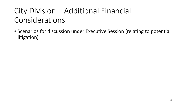## City Division – Additional Financial Considerations

• Scenarios for discussion under Executive Session (relating to potential litigation)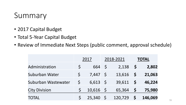### Summary

- 2017 Capital Budget
- Total 5-Year Capital Budget
- Review of Immediate Next Steps (public comment, approval schedule)

|                      | 2017    |                | 2018-2021  |         | <b>TOTAL</b> |         |
|----------------------|---------|----------------|------------|---------|--------------|---------|
| Administration       |         | 664            | $\sqrt{5}$ | 2,138   | $\mathsf{S}$ | 2,802   |
| Suburban Water       |         | $7,447$ \$     |            | 13,616  | S            | 21,063  |
| Suburban Wastewater  | $\zeta$ | $6,613$ \$     |            | 39,611  | $\mathsf{S}$ | 46,224  |
| <b>City Division</b> |         | $10,616$ \$    |            | 65,364  | $\mathsf{S}$ | 75,980  |
| <b>TOTAL</b>         |         | $25,340 \pm 5$ |            | 120,729 |              | 146,069 |